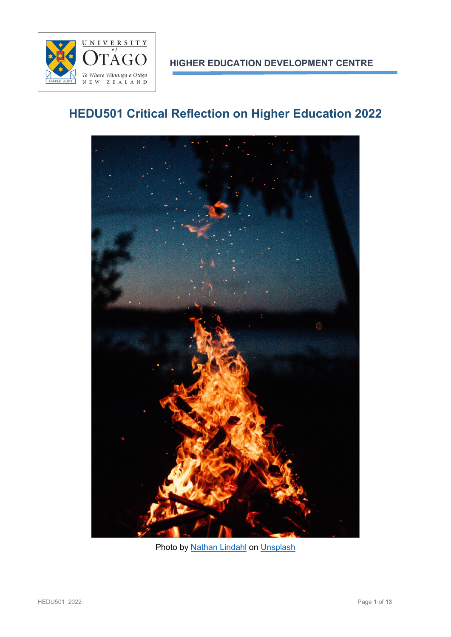

# **HEDU501 Critical Reflection on Higher Education 2022**



Photo by **Nathan Lindahl** on [Unsplash](https://unsplash.com/s/photos/camp-fire?utm_source=unsplash&utm_medium=referral&utm_content=creditCopyText)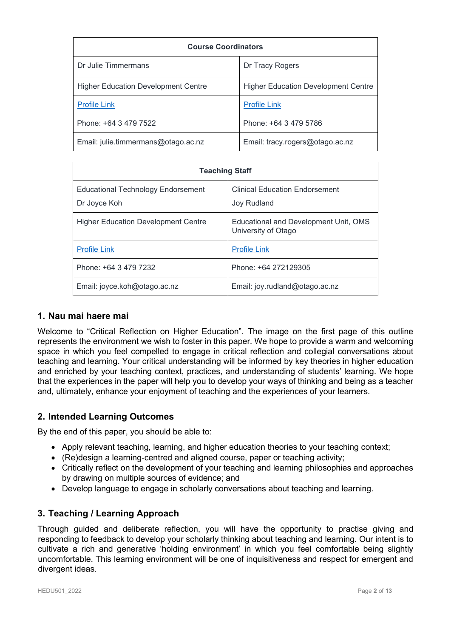| <b>Course Coordinators</b>                 |                                            |  |
|--------------------------------------------|--------------------------------------------|--|
| Dr Julie Timmermans                        | Dr Tracy Rogers                            |  |
| <b>Higher Education Development Centre</b> | <b>Higher Education Development Centre</b> |  |
| <b>Profile Link</b>                        | <b>Profile Link</b>                        |  |
| Phone: +64 3 479 7522                      | Phone: +64 3 479 5786                      |  |
| Email: julie.timmermans@otago.ac.nz        | Email: tracy.rogers@otago.ac.nz            |  |

| <b>Teaching Staff</b>                                     |                                                              |  |
|-----------------------------------------------------------|--------------------------------------------------------------|--|
| <b>Educational Technology Endorsement</b><br>Dr Joyce Koh | <b>Clinical Education Endorsement</b><br>Joy Rudland         |  |
| <b>Higher Education Development Centre</b>                | Educational and Development Unit, OMS<br>University of Otago |  |
| <b>Profile Link</b>                                       | <b>Profile Link</b>                                          |  |
| Phone: +64 3 479 7232                                     | Phone: +64 272129305                                         |  |
| Email: joyce.koh@otago.ac.nz                              | Email: joy.rudland@otago.ac.nz                               |  |

## **1. Nau mai haere mai**

Welcome to "Critical Reflection on Higher Education". The image on the first page of this outline represents the environment we wish to foster in this paper. We hope to provide a warm and welcoming space in which you feel compelled to engage in critical reflection and collegial conversations about teaching and learning. Your critical understanding will be informed by key theories in higher education and enriched by your teaching context, practices, and understanding of students' learning. We hope that the experiences in the paper will help you to develop your ways of thinking and being as a teacher and, ultimately, enhance your enjoyment of teaching and the experiences of your learners.

## **2. Intended Learning Outcomes**

By the end of this paper, you should be able to:

- Apply relevant teaching, learning, and higher education theories to your teaching context;
- (Re)design a learning-centred and aligned course, paper or teaching activity;
- Critically reflect on the development of your teaching and learning philosophies and approaches by drawing on multiple sources of evidence; and
- Develop language to engage in scholarly conversations about teaching and learning.

## **3. Teaching / Learning Approach**

Through guided and deliberate reflection, you will have the opportunity to practise giving and responding to feedback to develop your scholarly thinking about teaching and learning. Our intent is to cultivate a rich and generative 'holding environment' in which you feel comfortable being slightly uncomfortable. This learning environment will be one of inquisitiveness and respect for emergent and divergent ideas.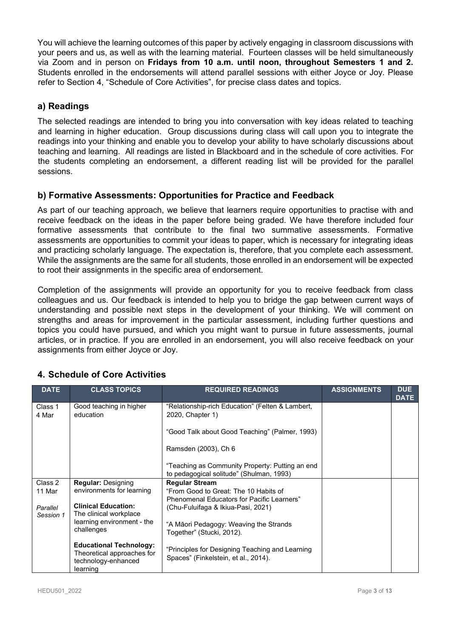You will achieve the learning outcomes of this paper by actively engaging in classroom discussions with your peers and us, as well as with the learning material. Fourteen classes will be held simultaneously via Zoom and in person on **Fridays from 10 a.m. until noon, throughout Semesters 1 and 2.**  Students enrolled in the endorsements will attend parallel sessions with either Joyce or Joy. Please refer to Section 4, "Schedule of Core Activities", for precise class dates and topics.

## **a) Readings**

The selected readings are intended to bring you into conversation with key ideas related to teaching and learning in higher education. Group discussions during class will call upon you to integrate the readings into your thinking and enable you to develop your ability to have scholarly discussions about teaching and learning. All readings are listed in Blackboard and in the schedule of core activities. For the students completing an endorsement, a different reading list will be provided for the parallel sessions.

## **b) Formative Assessments: Opportunities for Practice and Feedback**

As part of our teaching approach, we believe that learners require opportunities to practise with and receive feedback on the ideas in the paper before being graded. We have therefore included four formative assessments that contribute to the final two summative assessments. Formative assessments are opportunities to commit your ideas to paper, which is necessary for integrating ideas and practicing scholarly language. The expectation is, therefore, that you complete each assessment. While the assignments are the same for all students, those enrolled in an endorsement will be expected to root their assignments in the specific area of endorsement.

Completion of the assignments will provide an opportunity for you to receive feedback from class colleagues and us. Our feedback is intended to help you to bridge the gap between current ways of understanding and possible next steps in the development of your thinking. We will comment on strengths and areas for improvement in the particular assessment, including further questions and topics you could have pursued, and which you might want to pursue in future assessments, journal articles, or in practice. If you are enrolled in an endorsement, you will also receive feedback on your assignments from either Joyce or Joy.

| <b>DATE</b>           | <b>CLASS TOPICS</b>                                                                             | <b>REQUIRED READINGS</b>                                                                    | <b>ASSIGNMENTS</b> | <b>DUE</b><br><b>DATE</b> |
|-----------------------|-------------------------------------------------------------------------------------------------|---------------------------------------------------------------------------------------------|--------------------|---------------------------|
| Class 1<br>4 Mar      | Good teaching in higher<br>education                                                            | "Relationship-rich Education" (Felten & Lambert,<br>2020, Chapter 1)                        |                    |                           |
|                       |                                                                                                 | "Good Talk about Good Teaching" (Palmer, 1993)                                              |                    |                           |
|                       |                                                                                                 | Ramsden (2003), Ch 6                                                                        |                    |                           |
|                       |                                                                                                 | "Teaching as Community Property: Putting an end<br>to pedagogical solitude" (Shulman, 1993) |                    |                           |
| Class 2               | <b>Regular: Designing</b>                                                                       | <b>Regular Stream</b>                                                                       |                    |                           |
| 11 Mar                | environments for learning                                                                       | "From Good to Great: The 10 Habits of<br>Phenomenal Educators for Pacific Learners"         |                    |                           |
| Parallel<br>Session 1 | <b>Clinical Education:</b><br>The clinical workplace                                            | (Chu-Fuluifaga & Ikiua-Pasi, 2021)                                                          |                    |                           |
|                       | learning environment - the<br>challenges                                                        | "A Māori Pedagogy: Weaving the Strands<br>Together" (Stucki, 2012).                         |                    |                           |
|                       | <b>Educational Technology:</b><br>Theoretical approaches for<br>technology-enhanced<br>learning | "Principles for Designing Teaching and Learning<br>Spaces" (Finkelstein, et al., 2014).     |                    |                           |

## **4. Schedule of Core Activities**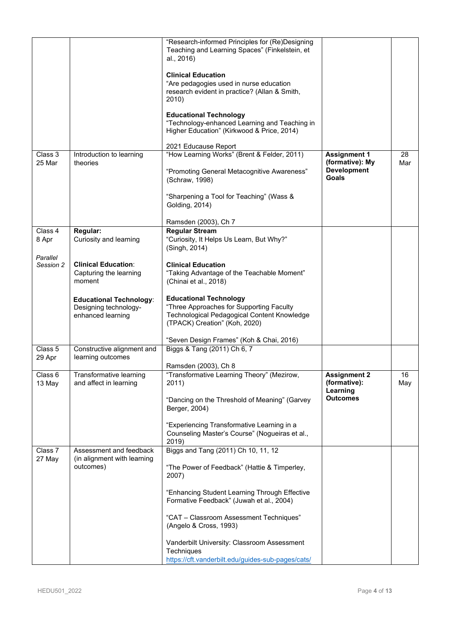| Class 3<br>25 Mar | Introduction to learning<br>theories                                         | "Research-informed Principles for (Re)Designing<br>Teaching and Learning Spaces" (Finkelstein, et<br>al., 2016)<br><b>Clinical Education</b><br>"Are pedagogies used in nurse education<br>research evident in practice? (Allan & Smith,<br>2010)<br><b>Educational Technology</b><br>"Technology-enhanced Learning and Teaching in<br>Higher Education" (Kirkwood & Price, 2014)<br>2021 Educause Report<br>"How Learning Works" (Brent & Felder, 2011)<br>"Promoting General Metacognitive Awareness"<br>(Schraw, 1998) | <b>Assignment 1</b><br>(formative): My<br><b>Development</b><br><b>Goals</b> | 28<br>Mar |
|-------------------|------------------------------------------------------------------------------|---------------------------------------------------------------------------------------------------------------------------------------------------------------------------------------------------------------------------------------------------------------------------------------------------------------------------------------------------------------------------------------------------------------------------------------------------------------------------------------------------------------------------|------------------------------------------------------------------------------|-----------|
|                   |                                                                              | "Sharpening a Tool for Teaching" (Wass &<br>Golding, 2014)                                                                                                                                                                                                                                                                                                                                                                                                                                                                |                                                                              |           |
| Class 4           | Regular:                                                                     | Ramsden (2003), Ch 7<br><b>Regular Stream</b>                                                                                                                                                                                                                                                                                                                                                                                                                                                                             |                                                                              |           |
| 8 Apr<br>Parallel | Curiosity and learning                                                       | "Curiosity, It Helps Us Learn, But Why?"<br>(Singh, 2014)                                                                                                                                                                                                                                                                                                                                                                                                                                                                 |                                                                              |           |
| Session 2         | <b>Clinical Education:</b><br>Capturing the learning<br>moment               | <b>Clinical Education</b><br>"Taking Advantage of the Teachable Moment"<br>(Chinai et al., 2018)                                                                                                                                                                                                                                                                                                                                                                                                                          |                                                                              |           |
|                   | <b>Educational Technology:</b><br>Designing technology-<br>enhanced learning | <b>Educational Technology</b><br>"Three Approaches for Supporting Faculty<br>Technological Pedagogical Content Knowledge<br>(TPACK) Creation" (Koh, 2020)                                                                                                                                                                                                                                                                                                                                                                 |                                                                              |           |
|                   |                                                                              | "Seven Design Frames" (Koh & Chai, 2016)                                                                                                                                                                                                                                                                                                                                                                                                                                                                                  |                                                                              |           |
| Class 5<br>29 Apr | Constructive alignment and<br>learning outcomes                              | Biggs & Tang (2011) Ch 6, 7                                                                                                                                                                                                                                                                                                                                                                                                                                                                                               |                                                                              |           |
| Class 6           | Transformative learning                                                      | Ramsden (2003), Ch 8<br>"Transformative Learning Theory" (Mezirow,                                                                                                                                                                                                                                                                                                                                                                                                                                                        | <b>Assignment 2</b>                                                          | 16        |
| 13 May            | and affect in learning                                                       | 2011)<br>"Dancing on the Threshold of Meaning" (Garvey<br>Berger, 2004)                                                                                                                                                                                                                                                                                                                                                                                                                                                   | (formative):<br>Learning<br><b>Outcomes</b>                                  | May       |
|                   |                                                                              | "Experiencing Transformative Learning in a<br>Counseling Master's Course" (Nogueiras et al.,<br>2019)                                                                                                                                                                                                                                                                                                                                                                                                                     |                                                                              |           |
| Class 7<br>27 May | Assessment and feedback<br>(in alignment with learning<br>outcomes)          | Biggs and Tang (2011) Ch 10, 11, 12<br>"The Power of Feedback" (Hattie & Timperley,<br>2007)                                                                                                                                                                                                                                                                                                                                                                                                                              |                                                                              |           |
|                   |                                                                              | "Enhancing Student Learning Through Effective<br>Formative Feedback" (Juwah et al., 2004)                                                                                                                                                                                                                                                                                                                                                                                                                                 |                                                                              |           |
|                   |                                                                              | "CAT - Classroom Assessment Techniques"<br>(Angelo & Cross, 1993)                                                                                                                                                                                                                                                                                                                                                                                                                                                         |                                                                              |           |
|                   |                                                                              | Vanderbilt University: Classroom Assessment<br>Techniques<br>https://cft.vanderbilt.edu/guides-sub-pages/cats/                                                                                                                                                                                                                                                                                                                                                                                                            |                                                                              |           |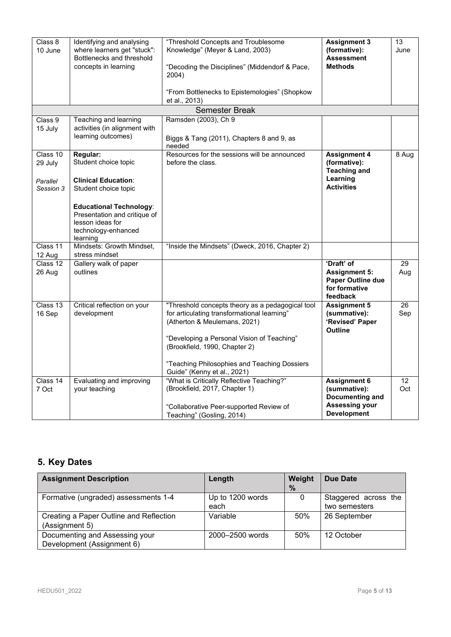| Class 8   | Identifying and analysing      | "Threshold Concepts and Troublesome              | <b>Assignment 3</b>   | 13    |
|-----------|--------------------------------|--------------------------------------------------|-----------------------|-------|
| 10 June   | where learners get "stuck":    | Knowledge" (Meyer & Land, 2003)                  | (formative):          | June  |
|           | Bottlenecks and threshold      |                                                  | <b>Assessment</b>     |       |
|           | concepts in learning           |                                                  | <b>Methods</b>        |       |
|           |                                | "Decoding the Disciplines" (Middendorf & Pace,   |                       |       |
|           |                                | 2004)                                            |                       |       |
|           |                                |                                                  |                       |       |
|           |                                | "From Bottlenecks to Epistemologies" (Shopkow    |                       |       |
|           |                                | et al., 2013)                                    |                       |       |
|           |                                | <b>Semester Break</b>                            |                       |       |
| Class 9   | Teaching and learning          | Ramsden (2003), Ch 9                             |                       |       |
| 15 July   | activities (in alignment with  |                                                  |                       |       |
|           | learning outcomes)             |                                                  |                       |       |
|           |                                | Biggs & Tang (2011), Chapters 8 and 9, as        |                       |       |
|           |                                | needed                                           |                       |       |
| Class 10  | Regular:                       | Resources for the sessions will be announced     | <b>Assignment 4</b>   | 8 Aug |
| 29 July   | Student choice topic           | before the class.                                | (formative):          |       |
|           |                                |                                                  | <b>Teaching and</b>   |       |
| Parallel  | <b>Clinical Education:</b>     |                                                  | Learning              |       |
| Session 3 | Student choice topic           |                                                  | <b>Activities</b>     |       |
|           |                                |                                                  |                       |       |
|           |                                |                                                  |                       |       |
|           | <b>Educational Technology:</b> |                                                  |                       |       |
|           | Presentation and critique of   |                                                  |                       |       |
|           | lesson ideas for               |                                                  |                       |       |
|           | technology-enhanced            |                                                  |                       |       |
|           | learning                       |                                                  |                       |       |
| Class 11  | Mindsets: Growth Mindset,      | "Inside the Mindsets" (Dweck, 2016, Chapter 2)   |                       |       |
| 12 Aug    | stress mindset                 |                                                  |                       |       |
| Class 12  | Gallery walk of paper          |                                                  | 'Draft' of            | 29    |
| 26 Aug    | outlines                       |                                                  | <b>Assignment 5:</b>  | Aug   |
|           |                                |                                                  | Paper Outline due     |       |
|           |                                |                                                  |                       |       |
|           |                                |                                                  | for formative         |       |
|           |                                |                                                  | feedback              |       |
| Class 13  | Critical reflection on your    | "Threshold concepts theory as a pedagogical tool | <b>Assignment 5</b>   | 26    |
| 16 Sep    | development                    | for articulating transformational learning"      | (summative):          | Sep   |
|           |                                | (Atherton & Meulemans, 2021)                     | 'Revised' Paper       |       |
|           |                                |                                                  | <b>Outline</b>        |       |
|           |                                | "Developing a Personal Vision of Teaching"       |                       |       |
|           |                                | (Brookfield, 1990, Chapter 2)                    |                       |       |
|           |                                |                                                  |                       |       |
|           |                                |                                                  |                       |       |
|           |                                | "Teaching Philosophies and Teaching Dossiers     |                       |       |
|           |                                | Guide" (Kenny et al., 2021)                      |                       |       |
| Class 14  | Evaluating and improving       | "What is Critically Reflective Teaching?"        | <b>Assignment 6</b>   | 12    |
| 7 Oct     | your teaching                  | (Brookfield, 2017, Chapter 1)                    | (summative):          | Oct   |
|           |                                |                                                  | Documenting and       |       |
|           |                                |                                                  | <b>Assessing your</b> |       |
|           |                                | "Collaborative Peer-supported Review of          | <b>Development</b>    |       |
|           |                                | Teaching" (Gosling, 2014)                        |                       |       |

## **5. Key Dates**

| <b>Assignment Description</b>           | Length           | Weight<br>$\%$ | <b>Due Date</b>      |
|-----------------------------------------|------------------|----------------|----------------------|
| Formative (ungraded) assessments 1-4    | Up to 1200 words | 0              | Staggered across the |
|                                         | each             |                | two semesters        |
| Creating a Paper Outline and Reflection | Variable         | 50%            | 26 September         |
| (Assignment 5)                          |                  |                |                      |
| Documenting and Assessing your          | 2000-2500 words  | 50%            | 12 October           |
| Development (Assignment 6)              |                  |                |                      |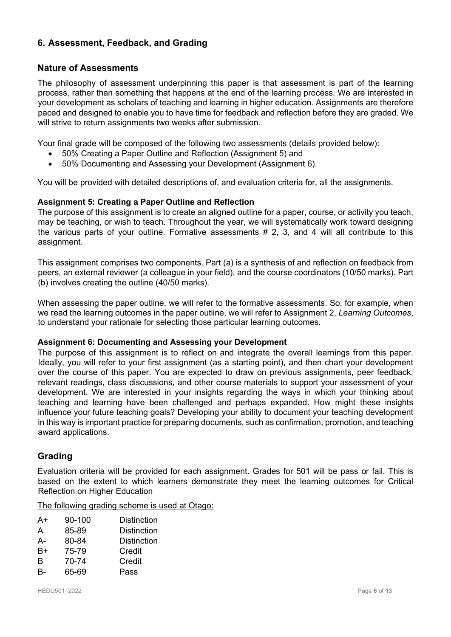## **6. Assessment, Feedback, and Grading**

## **Nature of Assessments**

The philosophy of assessment underpinning this paper is that assessment is part of the learning process, rather than something that happens at the end of the learning process. We are interested in your development as scholars of teaching and learning in higher education. Assignments are therefore paced and designed to enable you to have time for feedback and reflection before they are graded. We will strive to return assignments two weeks after submission.

Your final grade will be composed of the following two assessments (details provided below):

- 50% Creating a Paper Outline and Reflection (Assignment 5) and
- 50% Documenting and Assessing your Development (Assignment 6).

You will be provided with detailed descriptions of, and evaluation criteria for, all the assignments.

#### **Assignment 5: Creating a Paper Outline and Reflection**

The purpose of this assignment is to create an aligned outline for a paper, course, or activity you teach, may be teaching, or wish to teach. Throughout the year, we will systematically work toward designing the various parts of your outline. Formative assessments # 2, 3, and 4 will all contribute to this assignment.

This assignment comprises two components. Part (a) is a synthesis of and reflection on feedback from peers, an external reviewer (a colleague in your field), and the course coordinators (10/50 marks). Part (b) involves creating the outline (40/50 marks).

When assessing the paper outline, we will refer to the formative assessments. So, for example, when we read the learning outcomes in the paper outline, we will refer to Assignment 2, *Learning Outcomes*, to understand your rationale for selecting those particular learning outcomes.

#### **Assignment 6: Documenting and Assessing your Development**

The purpose of this assignment is to reflect on and integrate the overall learnings from this paper. Ideally, you will refer to your first assignment (as a starting point), and then chart your development over the course of this paper. You are expected to draw on previous assignments, peer feedback, relevant readings, class discussions, and other course materials to support your assessment of your development. We are interested in your insights regarding the ways in which your thinking about teaching and learning have been challenged and perhaps expanded. How might these insights influence your future teaching goals? Developing your ability to document your teaching development in this way is important practice for preparing documents, such as confirmation, promotion, and teaching award applications.

#### **Grading**

Evaluation criteria will be provided for each assignment. Grades for 501 will be pass or fail. This is based on the extent to which learners demonstrate they meet the learning outcomes for Critical Reflection on Higher Education

The following grading scheme is used at Otago:

| A+ | 90-100 | Distinction |
|----|--------|-------------|
|    |        |             |

| Α<br>85-89 | Distinction |
|------------|-------------|
|------------|-------------|

- A- 80-84 Distinction
- B+ 75-79 Credit
- B 70-74 Credit
- B- 65-69 Pass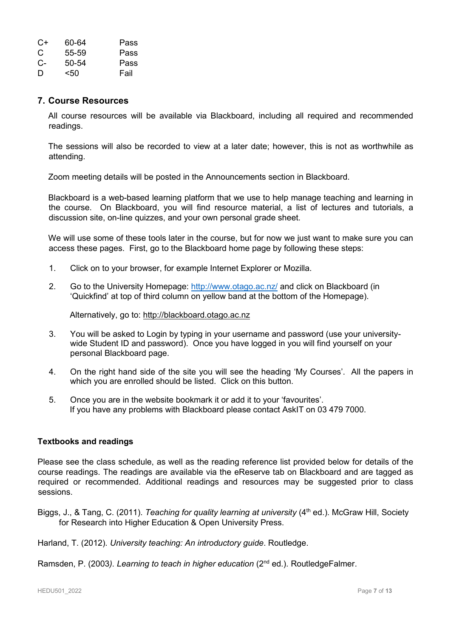| $C+$ | 60-64 | Pass |
|------|-------|------|
| C    | 55-59 | Pass |
| C-   | 50-54 | Pass |
| D    | <50   | Fail |

#### **7. Course Resources**

All course resources will be available via Blackboard, including all required and recommended readings.

The sessions will also be recorded to view at a later date; however, this is not as worthwhile as attending.

Zoom meeting details will be posted in the Announcements section in Blackboard.

Blackboard is a web-based learning platform that we use to help manage teaching and learning in the course. On Blackboard, you will find resource material, a list of lectures and tutorials, a discussion site, on-line quizzes, and your own personal grade sheet.

We will use some of these tools later in the course, but for now we just want to make sure you can access these pages. First, go to the Blackboard home page by following these steps:

- 1. Click on to your browser, for example Internet Explorer or Mozilla.
- 2. Go to the University Homepage:<http://www.otago.ac.nz/> and click on Blackboard (in 'Quickfind' at top of third column on yellow band at the bottom of the Homepage).

Alternatively, go to: http://blackboard.otago.ac.nz

- 3. You will be asked to Login by typing in your username and password (use your universitywide Student ID and password). Once you have logged in you will find yourself on your personal Blackboard page.
- 4. On the right hand side of the site you will see the heading 'My Courses'. All the papers in which you are enrolled should be listed. Click on this button.
- 5. Once you are in the website bookmark it or add it to your 'favourites'. If you have any problems with Blackboard please contact AskIT on 03 479 7000.

#### **Textbooks and readings**

Please see the class schedule, as well as the reading reference list provided below for details of the course readings. The readings are available via the eReserve tab on Blackboard and are tagged as required or recommended. Additional readings and resources may be suggested prior to class sessions.

Biggs, J., & Tang, C. (2011). *Teaching for quality learning at university* (4<sup>th</sup> ed.). McGraw Hill, Society for Research into Higher Education & Open University Press.

Harland, T. (2012). *University teaching: An introductory guide*. Routledge.

Ramsden, P. (2003*). Learning to teach in higher education* (2nd ed.). RoutledgeFalmer.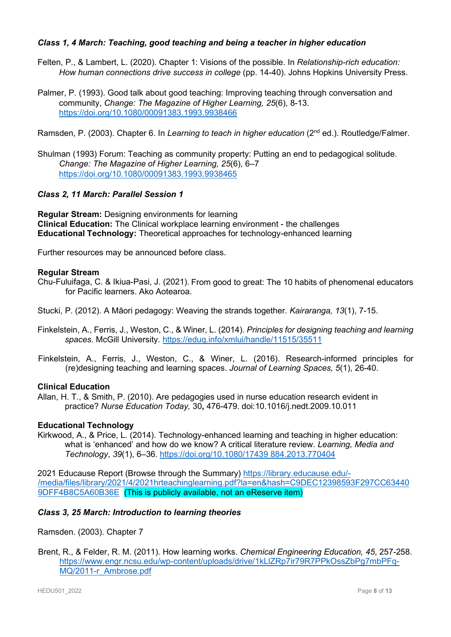#### *Class 1, 4 March: Teaching, good teaching and being a teacher in higher education*

- Felten, P., & Lambert, L. (2020). Chapter 1: Visions of the possible. In *Relationship-rich education: How human connections drive success in college* (pp. 14-40). Johns Hopkins University Press.
- Palmer, P. (1993). Good talk about good teaching: Improving teaching through conversation and community, *Change: The Magazine of Higher Learning, 25*(6), 8-13. <https://doi.org/10.1080/00091383.1993.9938466>

Ramsden, P. (2003). Chapter 6. In *Learning to teach in higher education* (2nd ed.). Routledge/Falmer.

Shulman (1993) Forum: Teaching as community property: Putting an end to pedagogical solitude. *Change: The Magazine of Higher Learning, 25*(6), 6–7 <https://doi.org/10.1080/00091383.1993.9938465>

## *Class 2, 11 March: Parallel Session 1*

**Regular Stream: Designing environments for learning Clinical Education:** The Clinical workplace learning environment - the challenges **Educational Technology:** Theoretical approaches for technology-enhanced learning

Further resources may be announced before class.

#### **Regular Stream**

Chu-Fuluifaga, C. & Ikiua-Pasi, J. (2021). From good to great: The 10 habits of phenomenal educators for Pacific learners. Ako Aotearoa.

Stucki, P. (2012). A Māori pedagogy: Weaving the strands together. *Kairaranga, 13*(1), 7-15.

- Finkelstein, A., Ferris, J., Weston, C., & Winer, L. (2014). *Principles for designing teaching and learning spaces.* McGill University.<https://eduq.info/xmlui/handle/11515/35511>
- Finkelstein, A., Ferris, J., Weston, C., & Winer, L. (2016). Research-informed principles for (re)designing teaching and learning spaces. *Journal of Learning Spaces, 5*(1), 26-40.

#### **Clinical Education**

Allan, H. T., & Smith, P. (2010). Are pedagogies used in nurse education research evident in practice? *Nurse Education Today,* 30**,** 476-479. doi:10.1016/j.nedt.2009.10.011

#### **Educational Technology**

Kirkwood, A., & Price, L. (2014). Technology-enhanced learning and teaching in higher education: what is 'enhanced' and how do we know? A critical literature review. *Learning, Media and Technology*, *39*(1), 6–36. [https://doi.org/10.1080/17439 884.2013.770404](https://doi.org/10.1080/17439%20884.2013.770404)

2021 Educause Report (Browse through the Summary) [https://library.educause.edu/-](https://library.educause.edu/-/media/files/library/2021/4/2021hrteachinglearning.pdf?la=en&hash=C9DEC12398593F297CC634409DFF4B8C5A60B36E) [/media/files/library/2021/4/2021hrteachinglearning.pdf?la=en&hash=C9DEC12398593F297CC63440](https://library.educause.edu/-/media/files/library/2021/4/2021hrteachinglearning.pdf?la=en&hash=C9DEC12398593F297CC634409DFF4B8C5A60B36E) [9DFF4B8C5A60B36E](https://library.educause.edu/-/media/files/library/2021/4/2021hrteachinglearning.pdf?la=en&hash=C9DEC12398593F297CC634409DFF4B8C5A60B36E) (This is publicly available, not an eReserve item)

#### *Class 3, 25 March: Introduction to learning theories*

Ramsden. (2003). Chapter 7

#### Brent, R., & Felder, R. M. (2011). How learning works. *Chemical Engineering Education, 45*, 257-258. [https://www.engr.ncsu.edu/wp-content/uploads/drive/1kLlZRp7ir79R7PPkOssZbPg7mbPFq-](https://www.engr.ncsu.edu/wp-content/uploads/drive/1kLlZRp7ir79R7PPkOssZbPg7mbPFq-MQ/2011-r_Ambrose.pdf)[MQ/2011-r\\_Ambrose.pdf](https://www.engr.ncsu.edu/wp-content/uploads/drive/1kLlZRp7ir79R7PPkOssZbPg7mbPFq-MQ/2011-r_Ambrose.pdf)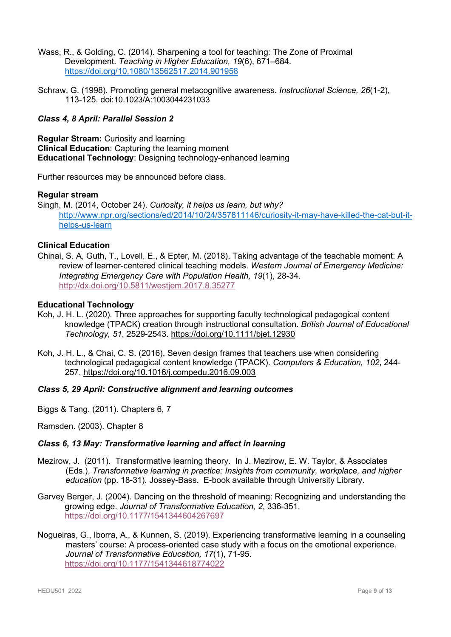- Wass, R., & Golding, C. (2014). Sharpening a tool for teaching: The Zone of Proximal Development. *Teaching in Higher Education, 19*(6), 671–684. <https://doi.org/10.1080/13562517.2014.901958>
- Schraw, G. (1998). Promoting general metacognitive awareness. *Instructional Science, 26*(1-2), 113-125. doi:10.1023/A:1003044231033

#### *Class 4, 8 April: Parallel Session 2*

**Regular Stream:** Curiosity and learning **Clinical Education**: Capturing the learning moment **Educational Technology**: Designing technology-enhanced learning

Further resources may be announced before class.

#### **Regular stream**

Singh, M. (2014, October 24). *Curiosity, it helps us learn, but why?* [http://www.npr.org/sections/ed/2014/10/24/357811146/curiosity-it-may-have-killed-the-cat-but-it](http://www.npr.org/sections/ed/2014/10/24/357811146/curiosity-it-may-have-killed-the-cat-but-it-helps-us-learn)[helps-us-learn](http://www.npr.org/sections/ed/2014/10/24/357811146/curiosity-it-may-have-killed-the-cat-but-it-helps-us-learn) 

#### **Clinical Education**

Chinai, S. A, Guth, T., Lovell, E., & Epter, M. (2018). Taking advantage of the teachable moment: A review of learner-centered clinical teaching models. *Western Journal of Emergency Medicine: Integrating Emergency Care with Population Health, 19*(1), 28-34. <http://dx.doi.org/10.5811/westjem.2017.8.35277>

#### **Educational Technology**

- Koh, J. H. L. (2020). Three approaches for supporting faculty technological pedagogical content knowledge (TPACK) creation through instructional consultation. *British Journal of Educational Technology, 51*, 2529-2543.<https://doi.org/10.1111/bjet.12930>
- Koh, J. H. L., & Chai, C. S. (2016). Seven design frames that teachers use when considering technological pedagogical content knowledge (TPACK). *Computers & Education, 102*, 244- 257.<https://doi.org/10.1016/j.compedu.2016.09.003>

#### *Class 5, 29 April: Constructive alignment and learning outcomes*

Biggs & Tang. (2011). Chapters 6, 7

Ramsden. (2003). Chapter 8

#### *Class 6, 13 May: Transformative learning and affect in learning*

- Mezirow, J. (2011). Transformative learning theory. In J. Mezirow, E. W. Taylor, & Associates (Eds.), *Transformative learning in practice: Insights from community, workplace, and higher education* (pp. 18-31)*.* Jossey-Bass. E-book available through University Library.
- Garvey Berger, J. (2004). Dancing on the threshold of meaning: Recognizing and understanding the growing edge. *Journal of Transformative Education, 2*, 336-351. <https://doi.org/10.1177/1541344604267697>
- Nogueiras, G., Iborra, A., & Kunnen, S. (2019). Experiencing transformative learning in a counseling masters' course: A process-oriented case study with a focus on the emotional experience. *Journal of Transformative Education, 17*(1), 71-95. <https://doi.org/10.1177/1541344618774022>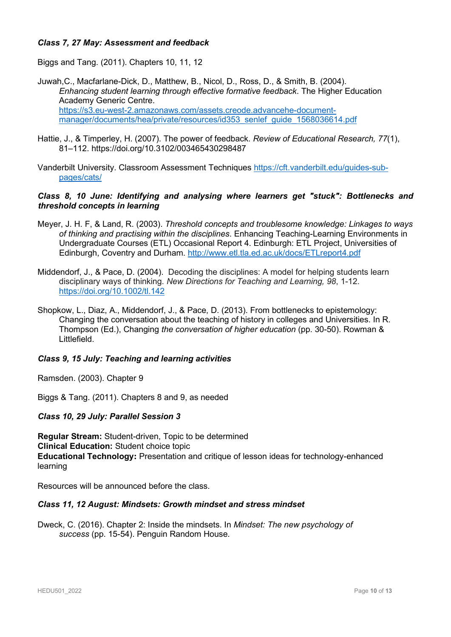## *Class 7, 27 May: Assessment and feedback*

Biggs and Tang. (2011). Chapters 10, 11, 12

Juwah,C., Macfarlane-Dick, D., Matthew, B., Nicol, D., Ross, D., & Smith, B. (2004). *Enhancing student learning through effective formative feedback*. The Higher Education Academy Generic Centre. [https://s3.eu-west-2.amazonaws.com/assets.creode.advancehe-document](https://s3.eu-west-2.amazonaws.com/assets.creode.advancehe-document-manager/documents/hea/private/resources/id353_senlef_guide_1568036614.pdf)[manager/documents/hea/private/resources/id353\\_senlef\\_guide\\_1568036614.pdf](https://s3.eu-west-2.amazonaws.com/assets.creode.advancehe-document-manager/documents/hea/private/resources/id353_senlef_guide_1568036614.pdf)

- Hattie, J., & Timperley, H. (2007). The power of feedback. *Review of Educational Research, 77*(1), 81–112. [https://doi.org/10.3102/003465430298487](https://doi.org/10.3102%2F003465430298487)
- Vanderbilt University. Classroom Assessment Techniques [https://cft.vanderbilt.edu/guides-sub](https://cft.vanderbilt.edu/guides-sub-pages/cats/)[pages/cats/](https://cft.vanderbilt.edu/guides-sub-pages/cats/)

#### *Class 8, 10 June: Identifying and analysing where learners get "stuck": Bottlenecks and threshold concepts in learning*

- Meyer, J. H. F, & Land, R. (2003). *Threshold concepts and troublesome knowledge: Linkages to ways of thinking and practising within the disciplines*. Enhancing Teaching-Learning Environments in Undergraduate Courses (ETL) Occasional Report 4. Edinburgh: ETL Project, Universities of Edinburgh, Coventry and Durham.<http://www.etl.tla.ed.ac.uk/docs/ETLreport4.pdf>
- Middendorf, J., & Pace, D. (2004). Decoding the disciplines: A model for helping students learn disciplinary ways of thinking. *New Directions for Teaching and Learning, 98*, 1-12. <https://doi.org/10.1002/tl.142>
- Shopkow, L., Diaz, A., Middendorf, J., & Pace, D. (2013). From bottlenecks to epistemology: Changing the conversation about the teaching of history in colleges and Universities. In R. Thompson (Ed.), Changing *the conversation of higher education* (pp. 30-50). Rowman & Littlefield.

#### *Class 9, 15 July: Teaching and learning activities*

Ramsden. (2003). Chapter 9

Biggs & Tang. (2011). Chapters 8 and 9, as needed

#### *Class 10, 29 July: Parallel Session 3*

**Regular Stream:** Student-driven, Topic to be determined **Clinical Education:** Student choice topic

**Educational Technology:** Presentation and critique of lesson ideas for technology-enhanced learning

Resources will be announced before the class.

#### *Class 11, 12 August: Mindsets: Growth mindset and stress mindset*

Dweck, C. (2016). Chapter 2: Inside the mindsets. In *Mindset: The new psychology of success* (pp. 15-54). Penguin Random House.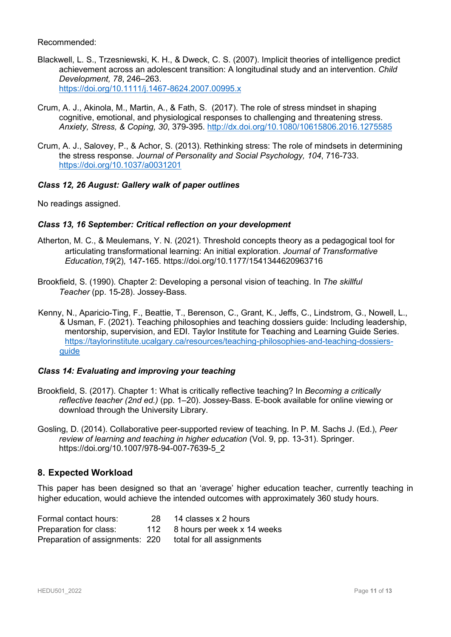Recommended:

- Blackwell, L. S., Trzesniewski, K. H., & Dweck, C. S. (2007). Implicit theories of intelligence predict achievement across an adolescent transition: A longitudinal study and an intervention. *Child Development, 78*, 246–263. <https://doi.org/10.1111/j.1467-8624.2007.00995.x>
- Crum, A. J., Akinola, M., Martin, A., & Fath, S. (2017). The role of stress mindset in shaping cognitive, emotional, and physiological responses to challenging and threatening stress. *Anxiety, Stress, & Coping, 30*, 379-395.<http://dx.doi.org/10.1080/10615806.2016.1275585>
- Crum, A. J., Salovey, P., & Achor, S. (2013). Rethinking stress: The role of mindsets in determining the stress response. *Journal of Personality and Social Psychology, 104*, 716-733. https://doi.org/10.1037/a0031201

#### *Class 12, 26 August: Gallery walk of paper outlines*

No readings assigned.

#### *Class 13, 16 September: Critical reflection on your development*

- Atherton, M. C., & Meulemans, Y. N. (2021). Threshold concepts theory as a pedagogical tool for articulating transformational learning: An initial exploration. *Journal of Transformative Education,19*(2)*,* 147-165.<https://doi.org/10.1177/1541344620963716>
- Brookfield, S. (1990). Chapter 2: Developing a personal vision of teaching. In *The skillful Teacher* (pp. 15-28). Jossey-Bass.
- Kenny, N., Aparicio-Ting, F., Beattie, T., Berenson, C., Grant, K., Jeffs, C., Lindstrom, G., Nowell, L., & Usman, F. (2021). Teaching philosophies and teaching dossiers guide: Including leadership, mentorship, supervision, and EDI. Taylor Institute for Teaching and Learning Guide Series. [https://taylorinstitute.ucalgary.ca/resources/teaching-philosophies-and-teaching-dossiers](https://taylorinstitute.ucalgary.ca/resources/teaching-philosophies-and-teaching-dossiers-guide)[guide](https://taylorinstitute.ucalgary.ca/resources/teaching-philosophies-and-teaching-dossiers-guide)

#### *Class 14: Evaluating and improving your teaching*

- Brookfield, S. (2017). Chapter 1: What is critically reflective teaching? In *Becoming a critically reflective teacher (2nd ed.)* (pp. 1–20). Jossey-Bass. E-book available for online viewing or download through the University Library.
- Gosling, D. (2014). Collaborative peer-supported review of teaching. In P. M. Sachs J. (Ed.), *Peer review of learning and teaching in higher education* (Vol. 9, pp. 13-31). Springer. https://doi.org/10.1007/978-94-007-7639-5\_2

#### **8. Expected Workload**

This paper has been designed so that an 'average' higher education teacher, currently teaching in higher education, would achieve the intended outcomes with approximately 360 study hours.

| Formal contact hours:                                     | 28 | 14 classes x 2 hours            |
|-----------------------------------------------------------|----|---------------------------------|
| Preparation for class:                                    |    | 112 8 hours per week x 14 weeks |
| Preparation of assignments: 220 total for all assignments |    |                                 |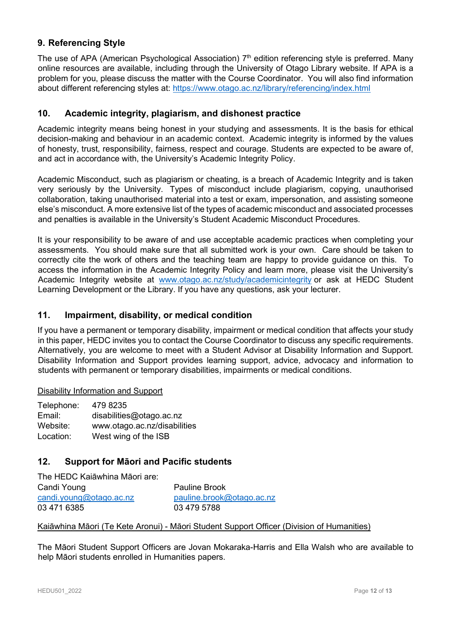## **9. Referencing Style**

The use of APA (American Psychological Association) 7<sup>th</sup> edition referencing style is preferred. Many online resources are available, including through the University of Otago Library website. If APA is a problem for you, please discuss the matter with the Course Coordinator. You will also find information about different referencing styles at:<https://www.otago.ac.nz/library/referencing/index.html>

## **10. Academic integrity, plagiarism, and dishonest practice**

Academic integrity means being honest in your studying and assessments. It is the basis for ethical decision-making and behaviour in an academic context. Academic integrity is informed by the values of honesty, trust, responsibility, fairness, respect and courage. Students are expected to be aware of, and act in accordance with, the University's Academic Integrity Policy.

Academic Misconduct, such as plagiarism or cheating, is a breach of Academic Integrity and is taken very seriously by the University. Types of misconduct include plagiarism, copying, unauthorised collaboration, taking unauthorised material into a test or exam, impersonation, and assisting someone else's misconduct. A more extensive list of the types of academic misconduct and associated processes and penalties is available in the University's Student Academic Misconduct Procedures.

It is your responsibility to be aware of and use acceptable academic practices when completing your assessments. You should make sure that all submitted work is your own. Care should be taken to correctly cite the work of others and the teaching team are happy to provide guidance on this. To access the information in the Academic Integrity Policy and learn more, please visit the University's Academic Integrity website at [www.otago.ac.nz/study/academicintegrity](http://www.otago.ac.nz/study/academicintegrity) or ask at HEDC Student Learning Development or the Library. If you have any questions, ask your lecturer.

## **11. Impairment, disability, or medical condition**

If you have a permanent or temporary disability, impairment or medical condition that affects your study in this paper, HEDC invites you to contact the Course Coordinator to discuss any specific requirements. Alternatively, you are welcome to meet with a Student Advisor at Disability Information and Support. Disability Information and Support provides learning support, advice, advocacy and information to students with permanent or temporary disabilities, impairments or medical conditions.

#### Disability Information and Support

| Telephone: | 479 8235                     |
|------------|------------------------------|
| Email:     | disabilities@otago.ac.nz     |
| Website:   | www.otago.ac.nz/disabilities |
| Location:  | West wing of the ISB         |

## **12. Support for Māori and Pacific students**

| The HEDC Kaiāwhina Māori are: |                           |
|-------------------------------|---------------------------|
| Candi Young                   | Pauline Brook             |
| candi.young@otago.ac.nz       | pauline.brook@otago.ac.nz |
| 03 471 6385                   | 03 479 5788               |

#### Kaiāwhina Māori (Te Kete Aronui) - Māori Student Support Officer (Division of Humanities)

The Māori Student Support Officers are Jovan Mokaraka-Harris and Ella Walsh who are available to help Māori students enrolled in Humanities papers.